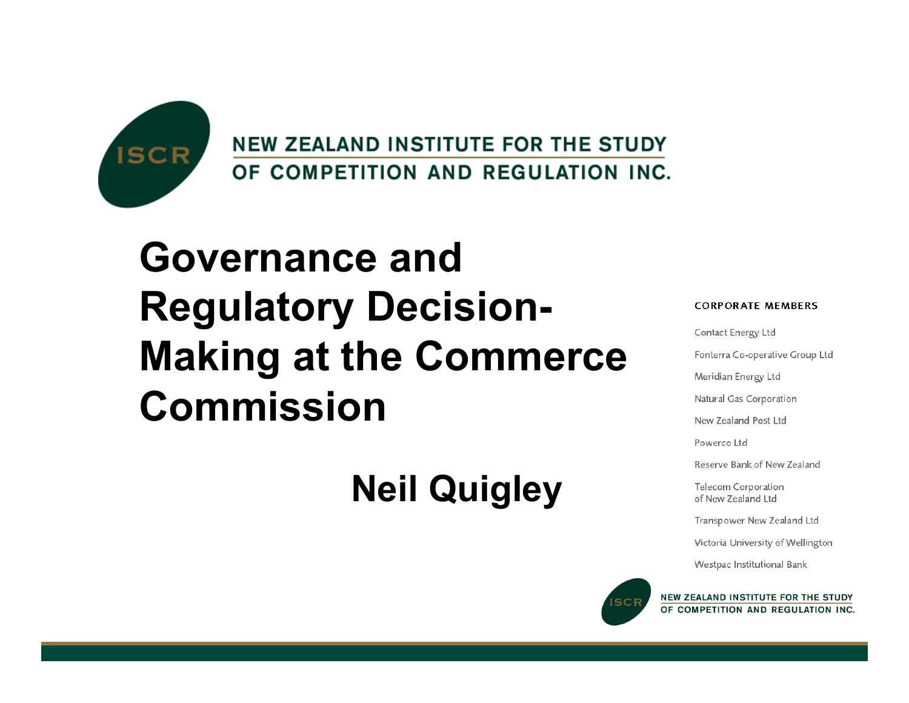

**NEW ZEALAND INSTITUTE FOR THE STUDY** OF COMPETITION AND REGULATION INC.

#### **Governance and Regulatory Decision-Making at the Commerce Commission**

#### **Neil Quigley**



Contact Energy Ltd

Fonterra Co-operative Group Ltd

Meridian Energy Ltd

Natural Gas Corporation

New Zealand Post Ltd

Powerco Ltd

Reserve Bank of New Zealand

Telecom Corporation of New Zealand Ltd

Transpower New Zealand Ltd

Victoria University of Wellington

Westpac Institutional Bank



NEW ZEALAND INSTITUTE FOR THE STUDY OF COMPETITION AND REGULATION INC.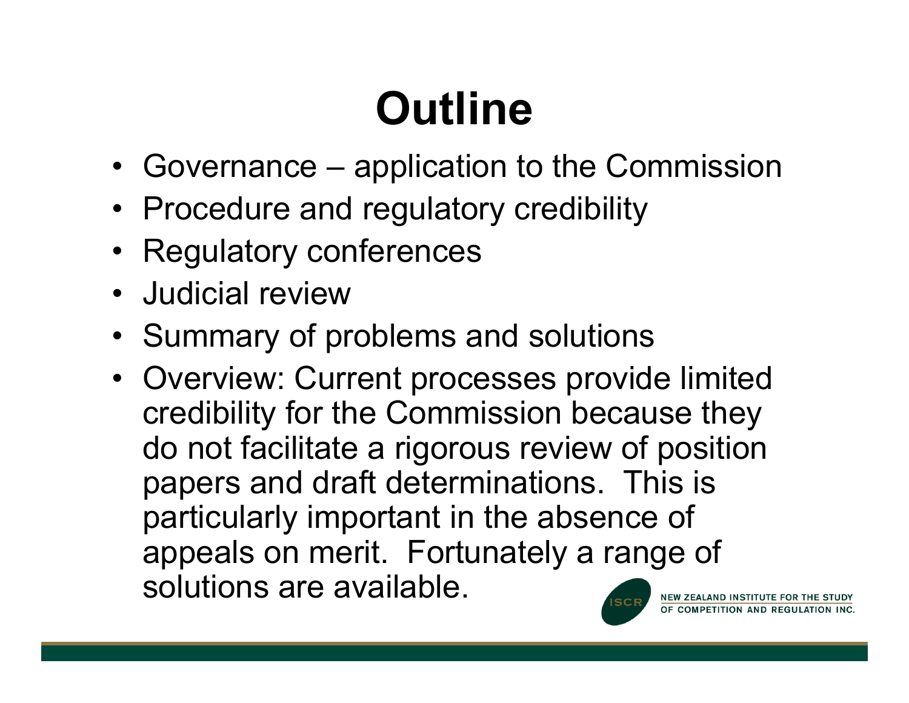# **Outline**

- Governance application to the Commission
- Procedure and regulatory credibility
- Regulatory conferences
- Judicial review
- Summary of problems and solutions
- Overview: Current processes provide limited credibility for the Commission because they do not facilitate a rigorous review of position papers and draft determinations. This is particularly important in the absence of appeals on merit. Fortunately a range of solutions are available.NEW ZEALAND INSTITUTE FOR THE STUDY

OF COMPETITION AND REGULATION INC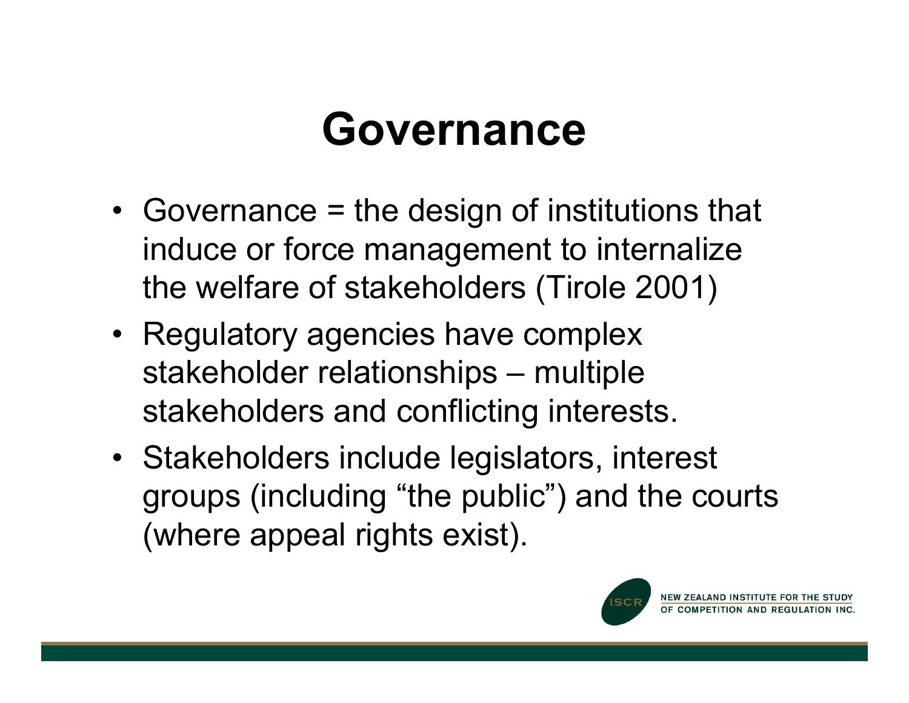#### **Governance**

- Governance = the design of institutions that induce or force management to internalize the welfare of stakeholders (Tirole 2001)
- Regulatory agencies have complex stakeholder relationships – multiple stakeholders and conflicting interests.
- Stakeholders include legislators, interest groups (including "the public") and the courts (where appeal rights exist).



NEW ZEALAND INSTITUTE FOR THE STUDY OF COMPETITION AND REGULATION INC.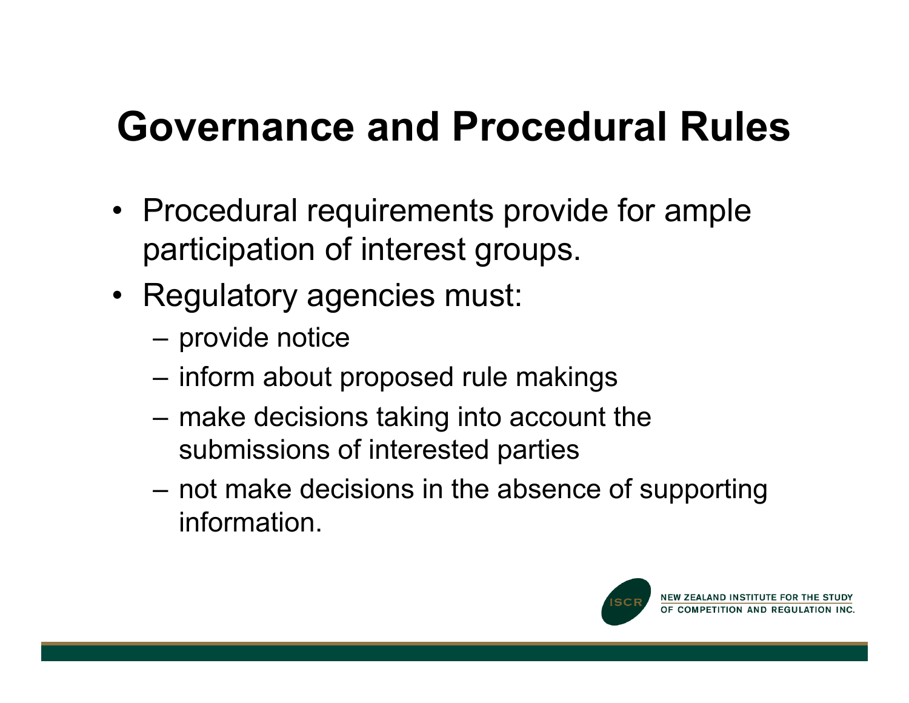#### **Governance and Procedural Rules**

- Procedural requirements provide for ample participation of interest groups.
- Regulatory agencies must:
	- provide notice
	- inform about proposed rule makings
	- make decisions taking into account the submissions of interested parties
	- not make decisions in the absence of supporting information.

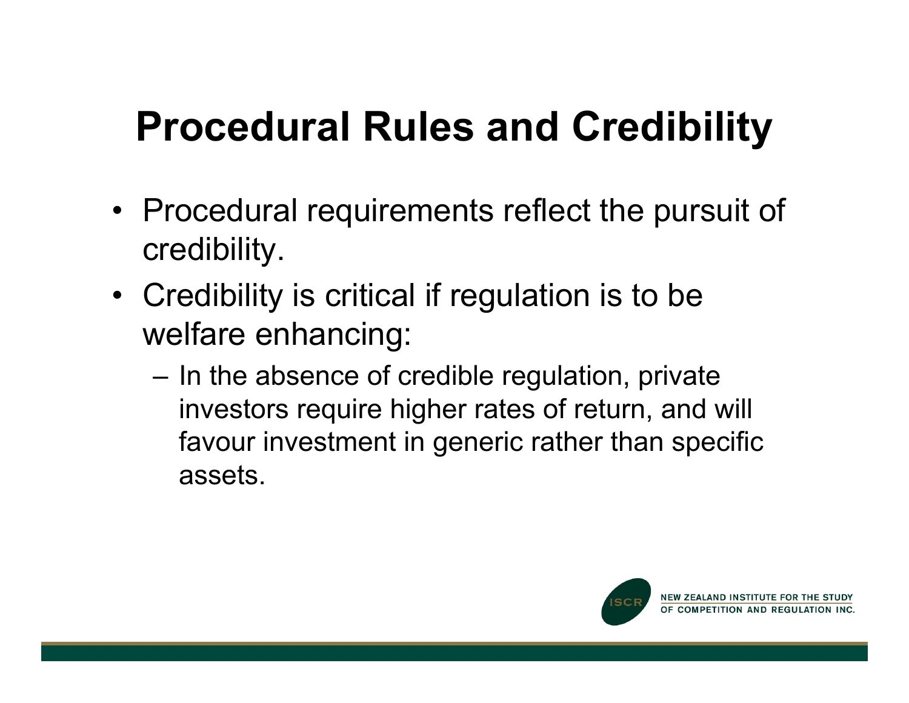#### **Procedural Rules and Credibility**

- Procedural requirements reflect the pursuit of credibility.
- Credibility is critical if regulation is to be welfare enhancing:
	- In the absence of credible regulation, private investors require higher rates of return, and will favour investment in generic rather than specific assets.

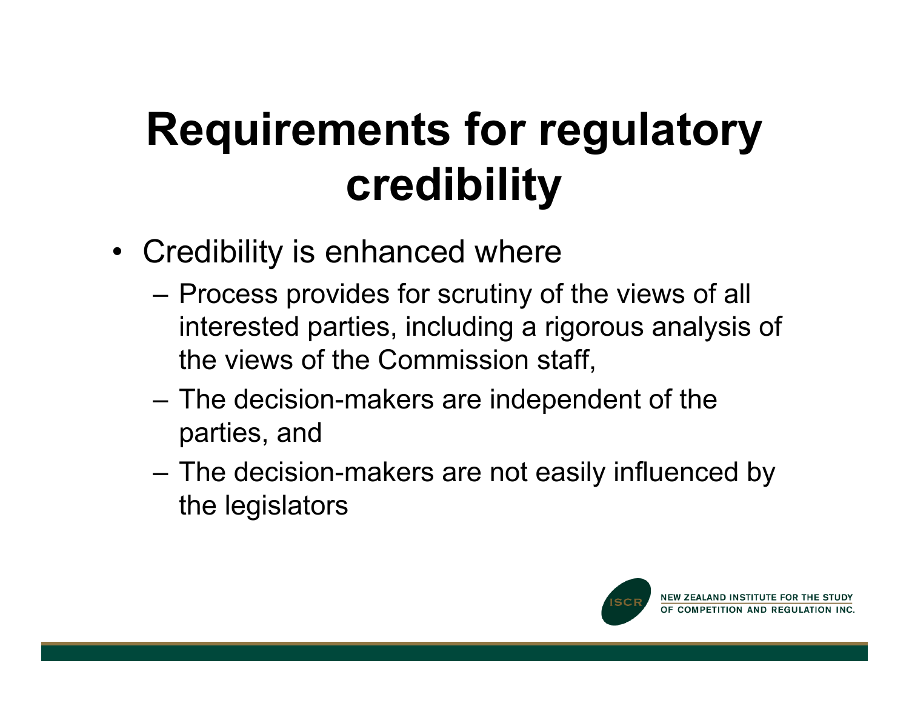## **Requirements for regulatory credibility**

- Credibility is enhanced where
	- Process provides for scrutiny of the views of all interested parties, including a rigorous analysis of the views of the Commission staff,
	- The decision-makers are independent of the parties, and
	- The decision-makers are not easily influenced by the legislators

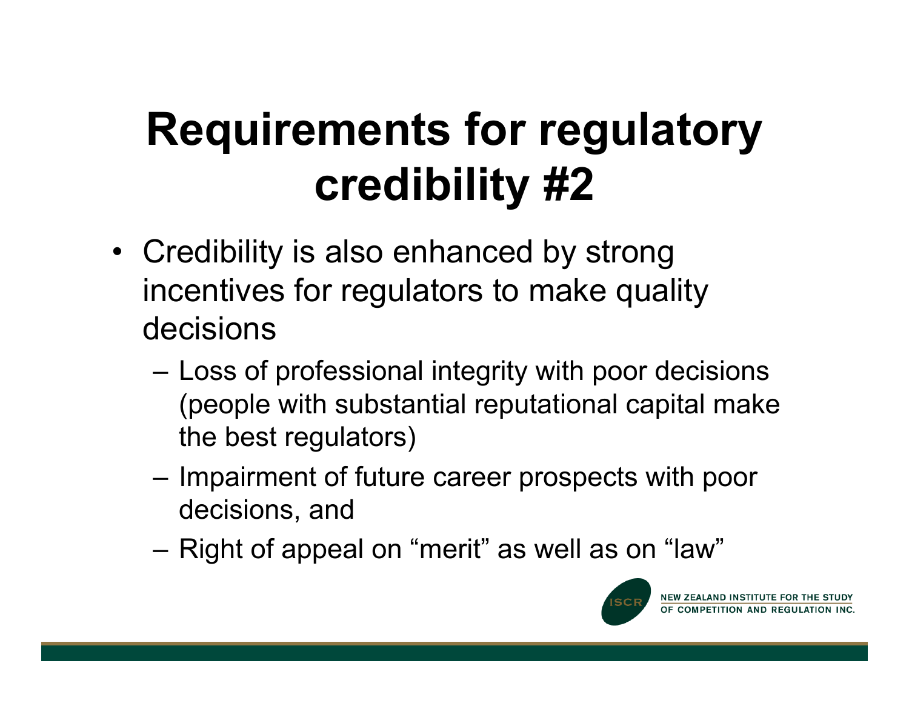## **Requirements for regulatory credibility #2**

- Credibility is also enhanced by strong incentives for regulators to make quality decisions
	- Loss of professional integrity with poor decisions (people with substantial reputational capital make the best regulators)
	- Impairment of future career prospects with poor decisions, and
	- Right of appeal on "merit" as well as on "law"

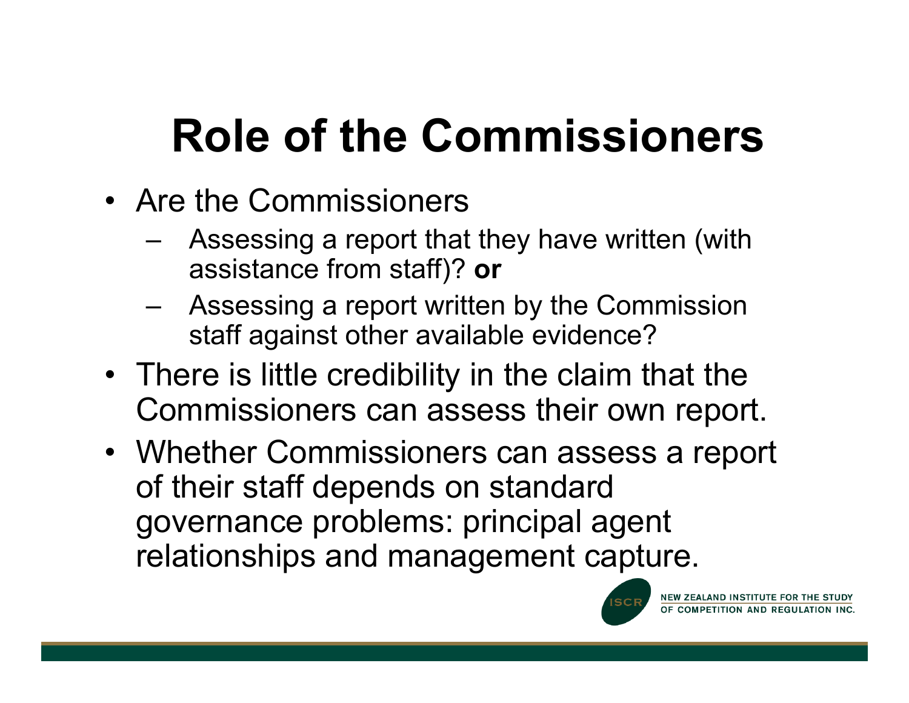# **Role of the Commissioners**

- Are the Commissioners
	- Assessing a report that they have written (with assistance from staff)? **or**
	- Assessing a report written by the Commission staff against other available evidence?
- There is little credibility in the claim that the Commissioners can assess their own report.
- Whether Commissioners can assess a report of their staff depends on standard governance problems: principal agent relationships and management capture.

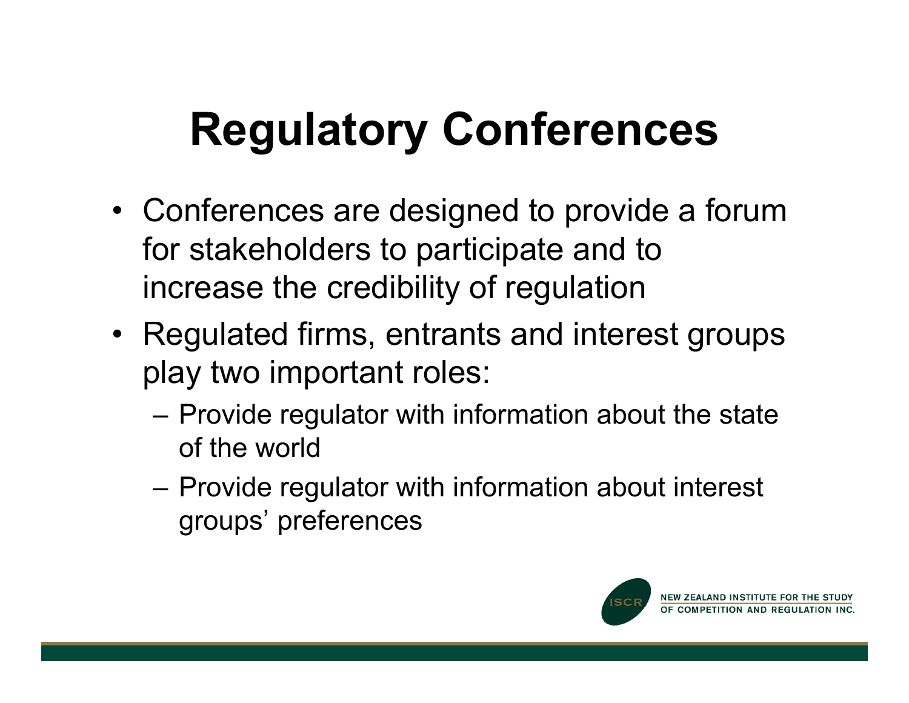## **Regulatory Conferences**

- Conferences are designed to provide a forum for stakeholders to participate and to increase the credibility of regulation
- Regulated firms, entrants and interest groups play two important roles:
	- Provide regulator with information about the state of the world
	- Provide regulator with information about interest groups' preferences

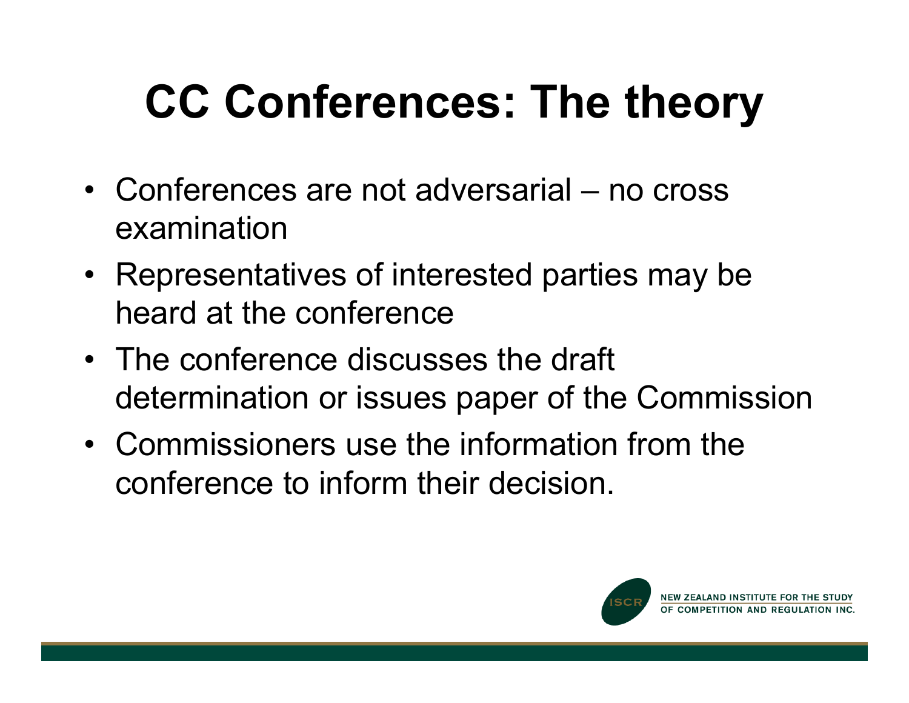# **CC Conferences: The theory**

- Conferences are not adversarial no cross examination
- Representatives of interested parties may be heard at the conference
- The conference discusses the draft determination or issues paper of the Commission
- Commissioners use the information from the conference to inform their decision.

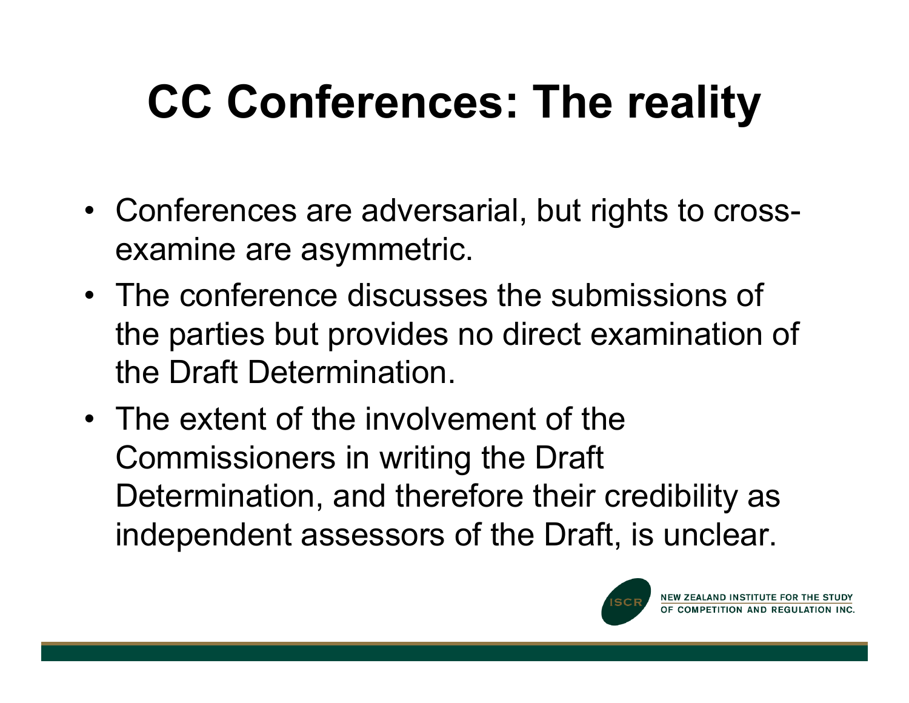# **CC Conferences: The reality**

- Conferences are adversarial, but rights to crossexamine are asymmetric.
- The conference discusses the submissions of the parties but provides no direct examination of the Draft Determination.
- The extent of the involvement of the Commissioners in writing the Draft Determination, and therefore their credibility as independent assessors of the Draft, is unclear.

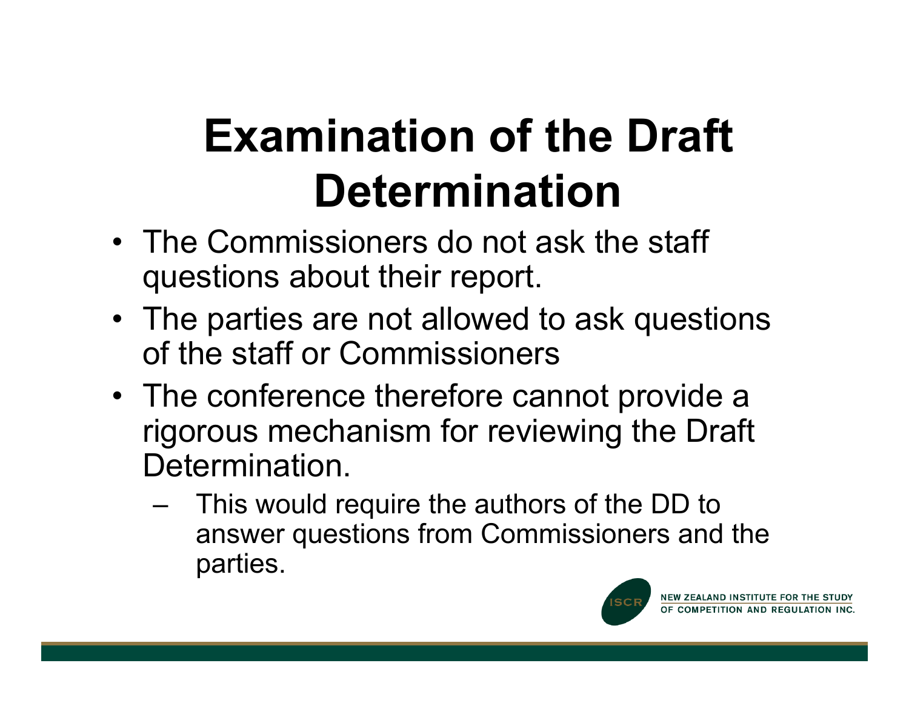## **Examination of the Draft Determination**

- The Commissioners do not ask the staff questions about their report.
- The parties are not allowed to ask questions of the staff or Commissioners
- The conference therefore cannot provide a rigorous mechanism for reviewing the Draft Determination.
	- This would require the authors of the DD to answer questions from Commissioners and the parties.

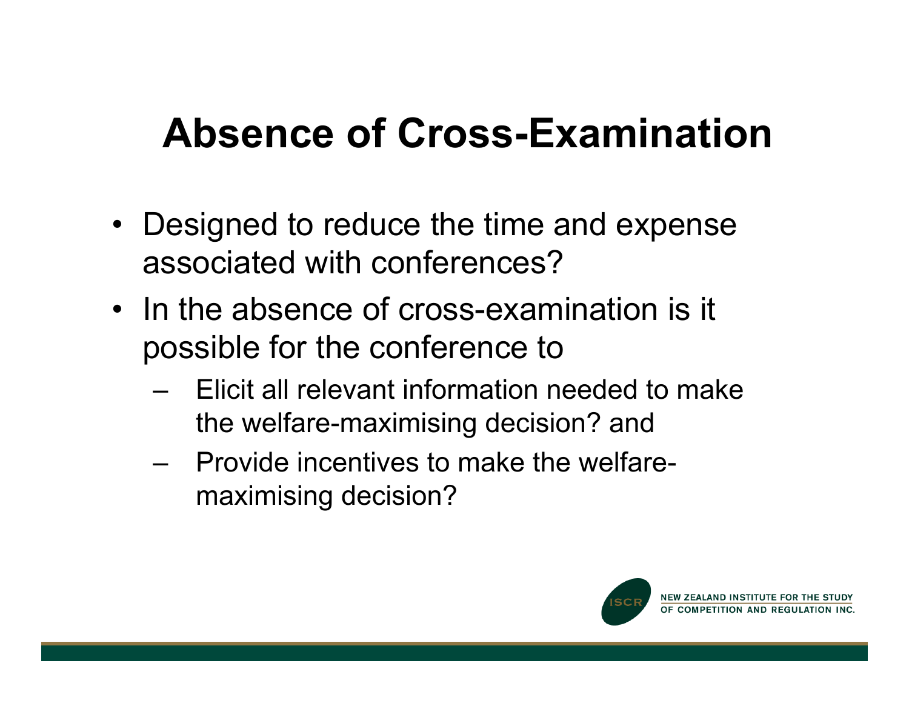#### **Absence of Cross-Examination**

- Designed to reduce the time and expense associated with conferences?
- In the absence of cross-examination is it possible for the conference to
	- Elicit all relevant information needed to make the welfare-maximising decision? and
	- Provide incentives to make the welfaremaximising decision?

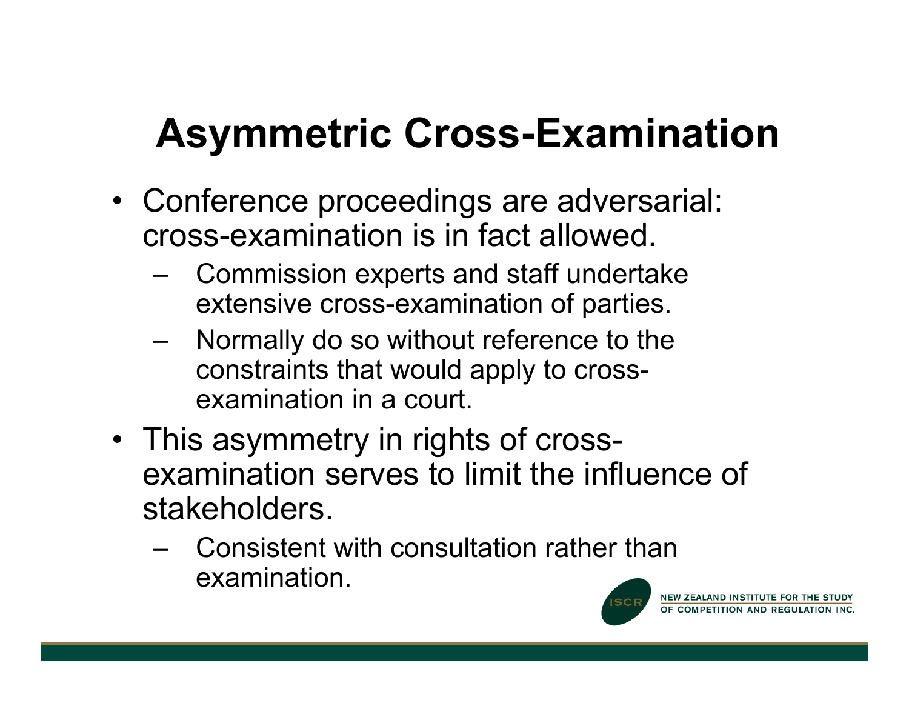### **Asymmetric Cross-Examination**

- Conference proceedings are adversarial: cross-examination is in fact allowed.
	- Commission experts and staff undertake extensive cross-examination of parties.
	- Normally do so without reference to the constraints that would apply to crossexamination in a court.
- This asymmetry in rights of crossexamination serves to limit the influence of stakeholders.
	- Consistent with consultation rather than examination.

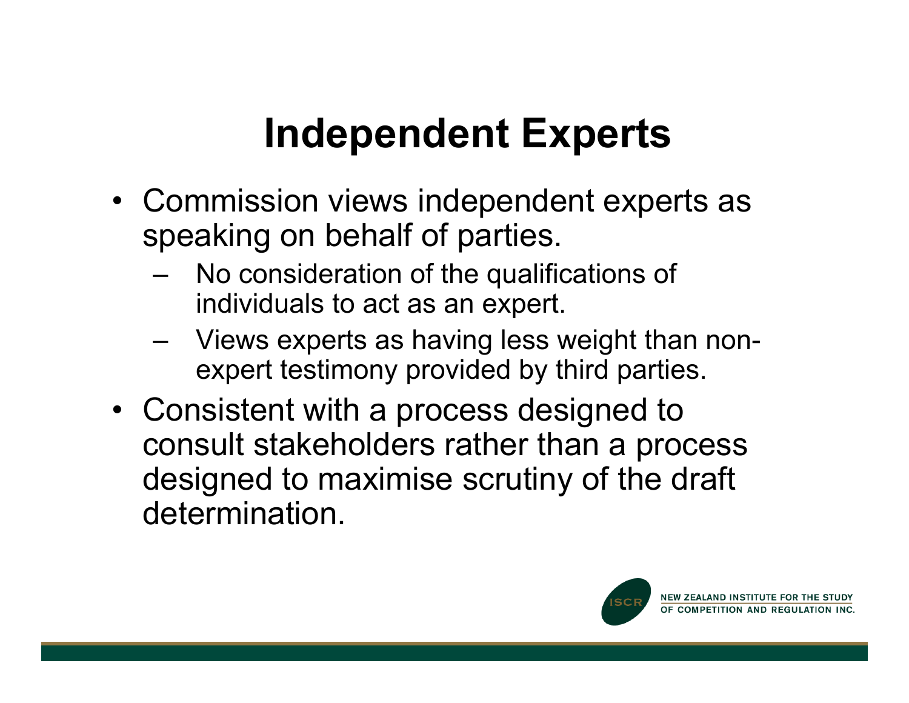#### **Independent Experts**

- Commission views independent experts as speaking on behalf of parties.
	- No consideration of the qualifications of individuals to act as an expert.
	- Views experts as having less weight than nonexpert testimony provided by third parties.
- Consistent with a process designed to consult stakeholders rather than a process designed to maximise scrutiny of the draft determination.

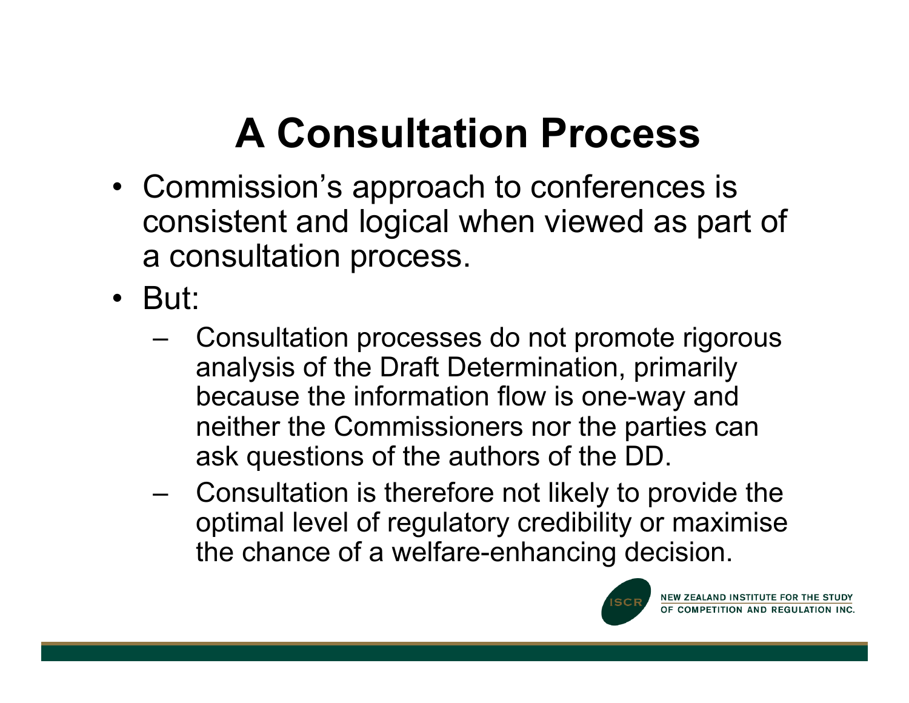### **A Consultation Process**

- Commission's approach to conferences is consistent and logical when viewed as part of a consultation process.
- But:
	- Consultation processes do not promote rigorous analysis of the Draft Determination, primarily because the information flow is one-way and neither the Commissioners nor the parties can ask questions of the authors of the DD.
	- Consultation is therefore not likely to provide the optimal level of regulatory credibility or maximise the chance of a welfare-enhancing decision.

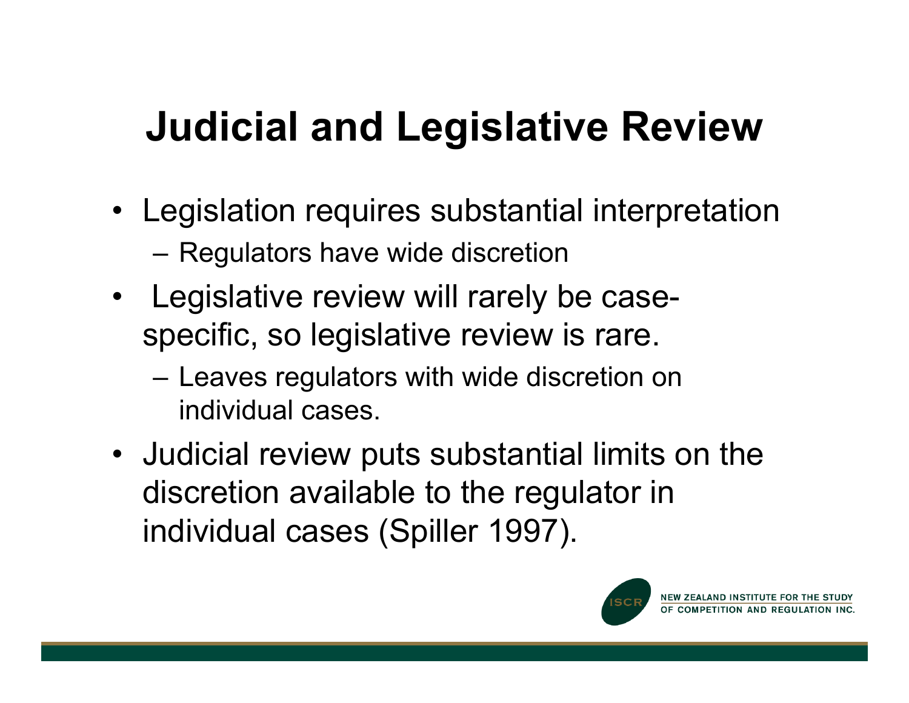#### **Judicial and Legislative Review**

- Legislation requires substantial interpretation – Regulators have wide discretion
- Legislative review will rarely be casespecific, so legislative review is rare.
	- Leaves regulators with wide discretion on individual cases.
- Judicial review puts substantial limits on the discretion available to the regulator in individual cases (Spiller 1997).

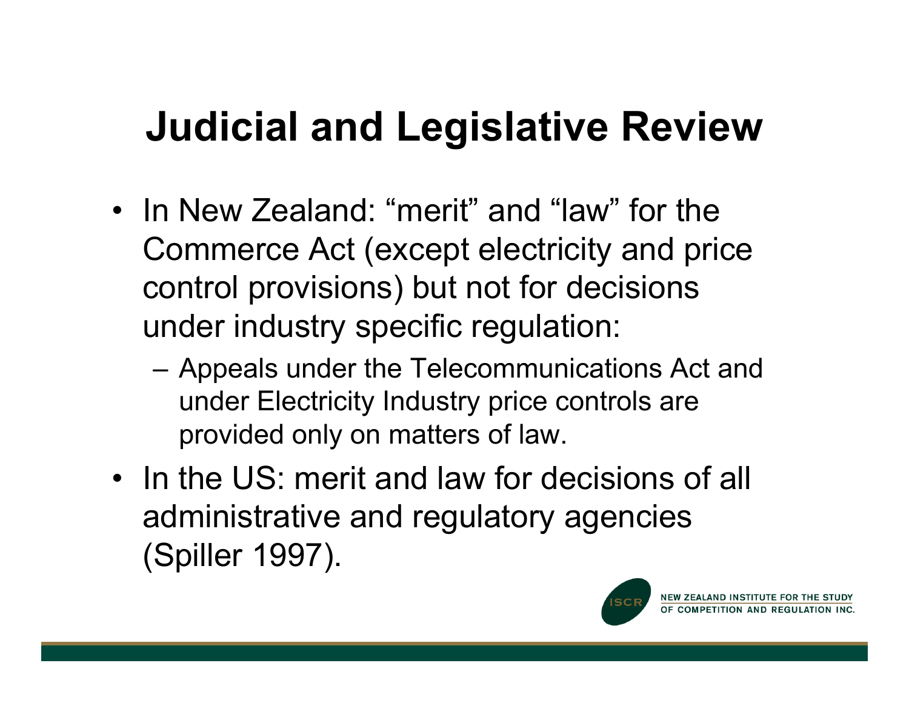#### **Judicial and Legislative Review**

- In New Zealand: "merit" and "law" for the Commerce Act (except electricity and price control provisions) but not for decisions under industry specific regulation:
	- Appeals under the Telecommunications Act and under Electricity Industry price controls are provided only on matters of law.
- In the US: merit and law for decisions of all administrative and regulatory agencies (Spiller 1997).

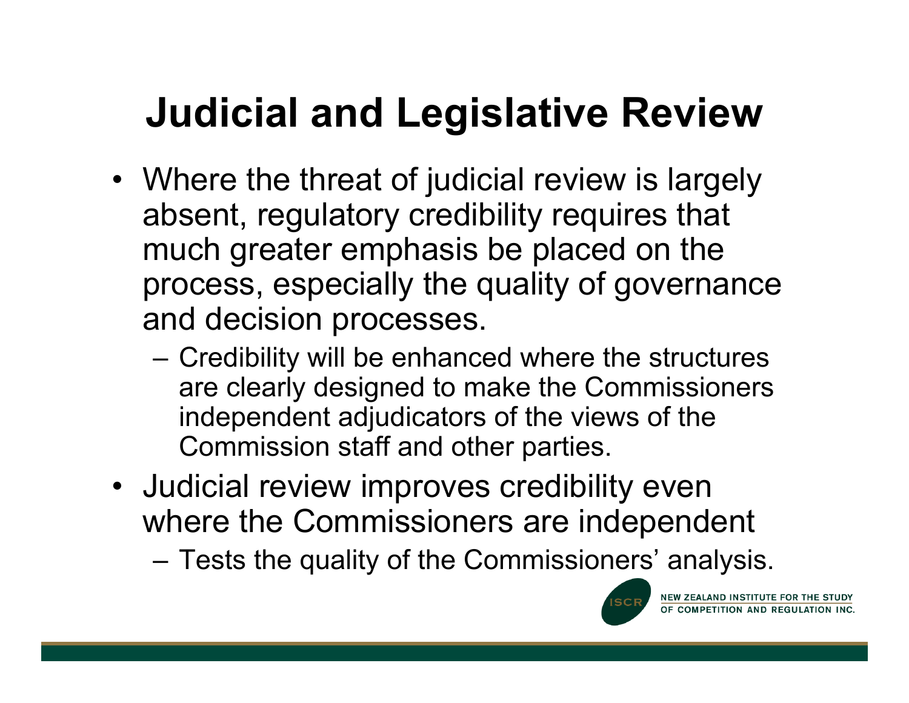#### **Judicial and Legislative Review**

- Where the threat of judicial review is largely absent, regulatory credibility requires that much greater emphasis be placed on the process, especially the quality of governance and decision processes.
	- Credibility will be enhanced where the structures are clearly designed to make the Commissioners independent adjudicators of the views of the Commission staff and other parties.
- Judicial review improves credibility even where the Commissioners are independent
	- Tests the quality of the Commissioners' analysis.

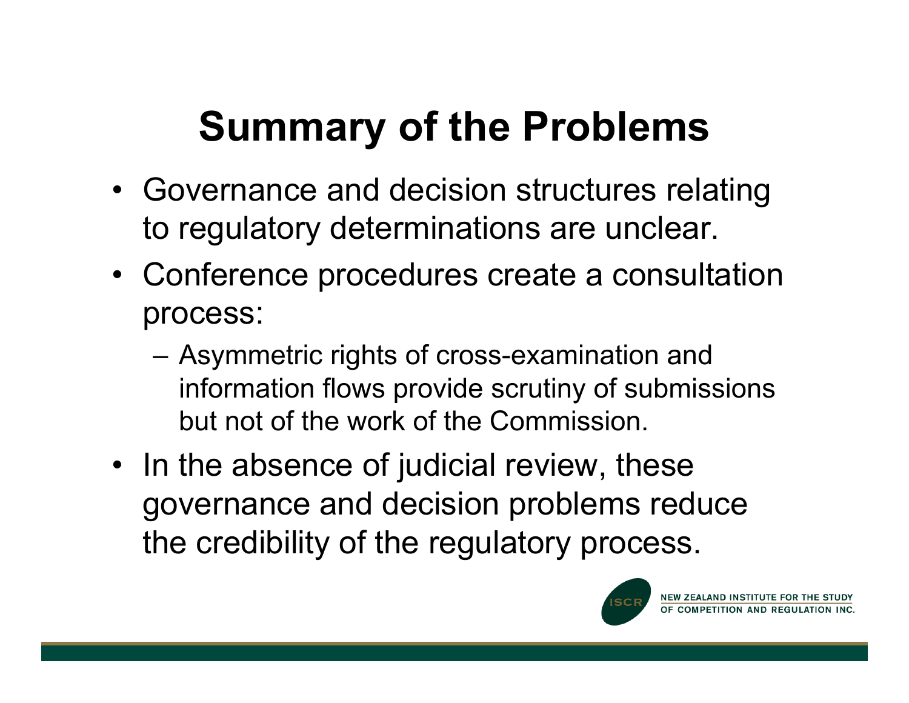### **Summary of the Problems**

- Governance and decision structures relating to regulatory determinations are unclear.
- Conference procedures create a consultation process:
	- Asymmetric rights of cross-examination and information flows provide scrutiny of submissions but not of the work of the Commission.
- In the absence of judicial review, these governance and decision problems reduce the credibility of the regulatory process.

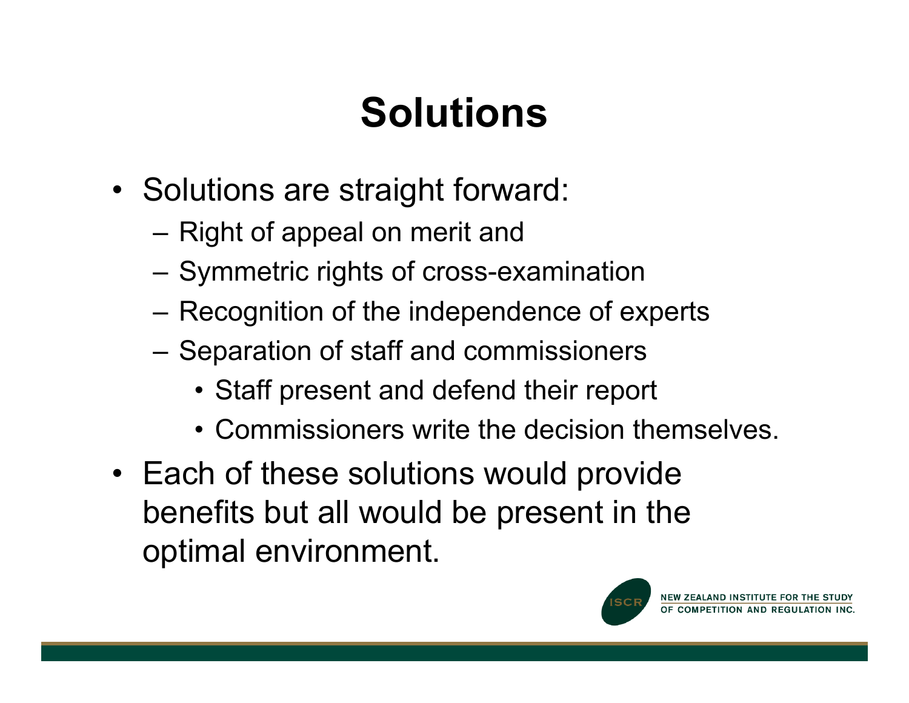### **Solutions**

- Solutions are straight forward:
	- Right of appeal on merit and
	- Symmetric rights of cross-examination
	- Recognition of the independence of experts
	- Separation of staff and commissioners
		- Staff present and defend their report
		- Commissioners write the decision themselves.
- Each of these solutions would provide benefits but all would be present in the optimal environment.

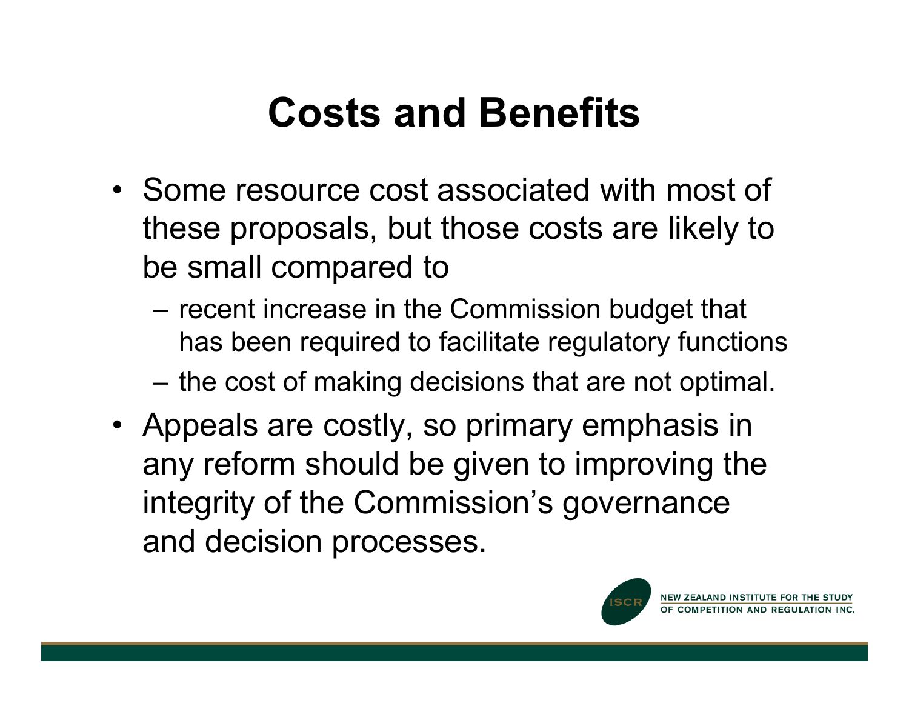#### **Costs and Benefits**

- Some resource cost associated with most of these proposals, but those costs are likely to be small compared to
	- recent increase in the Commission budget that has been required to facilitate regulatory functions
	- the cost of making decisions that are not optimal.
- Appeals are costly, so primary emphasis in any reform should be given to improving the integrity of the Commission's governance and decision processes.